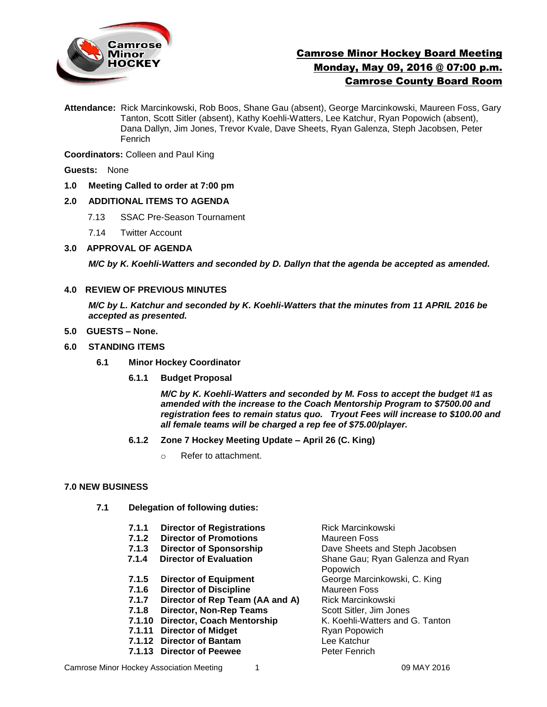

# Camrose Minor Hockey Board Meeting Monday, May 09, 2016 @ 07:00 p.m. Camrose County Board Room

**Attendance:** Rick Marcinkowski, Rob Boos, Shane Gau (absent), George Marcinkowski, Maureen Foss, Gary Tanton, Scott Sitler (absent), Kathy Koehli-Watters, Lee Katchur, Ryan Popowich (absent), Dana Dallyn, Jim Jones, Trevor Kvale, Dave Sheets, Ryan Galenza, Steph Jacobsen, Peter Fenrich

**Coordinators:** Colleen and Paul King

**Guests:** None

**1.0 Meeting Called to order at 7:00 pm**

#### **2.0 ADDITIONAL ITEMS TO AGENDA**

- 7.13 SSAC Pre-Season Tournament
- 7.14 Twitter Account
- **3.0 APPROVAL OF AGENDA**

*M/C by K. Koehli-Watters and seconded by D. Dallyn that the agenda be accepted as amended.* 

#### **4.0 REVIEW OF PREVIOUS MINUTES**

*M/C by L. Katchur and seconded by K. Koehli-Watters that the minutes from 11 APRIL 2016 be accepted as presented.*

- **5.0 GUESTS – None.**
- **6.0 STANDING ITEMS**
	- **6.1 Minor Hockey Coordinator** 
		- **6.1.1 Budget Proposal**

*M/C by K. Koehli-Watters and seconded by M. Foss to accept the budget #1 as amended with the increase to the Coach Mentorship Program to \$7500.00 and registration fees to remain status quo. Tryout Fees will increase to \$100.00 and all female teams will be charged a rep fee of \$75.00/player.* 

- **6.1.2 Zone 7 Hockey Meeting Update – April 26 (C. King)**
	- o Refer to attachment.

#### **7.0 NEW BUSINESS**

- **7.1 Delegation of following duties:**
	- **7.1.1 Director of Registrations Rick Marcinkowski 7.1.2 Director of Promotions** Maureen Foss **7.1.3 Director of Sponsorship** Dave Sheets and Steph Jacobsen **7.1.4 Director of Evaluation** Shane Gau; Ryan Galenza and Ryan Popowich **7.1.5 Director of Equipment** George Marcinkowski, C. King **7.1.6 Director of Discipline** Maureen Foss **7.1.7 Director of Rep Team (AA and A)** Rick Marcinkowski **7.1.8 Director, Non-Rep Teams** Scott Sitler, Jim Jones **7.1.10 Director, Coach Mentorship K. Koehli-Watters and G. Tanton 7.1.11 Director of Midget** Ryan Popowich **7.1.12 Director of Bantam** Lee Katchur **7.1.13 Director of Peewee** Peter Fenrich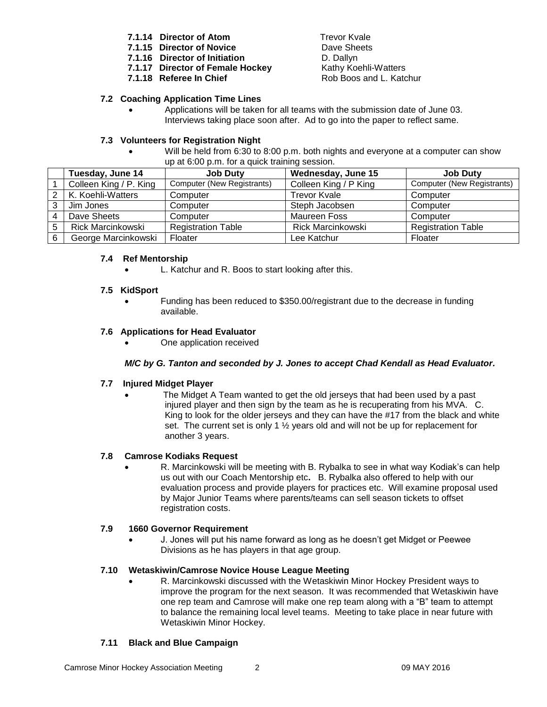- **7.1.14 Director of Atom** Trevor Kvale
- **7.1.15 Director of Novice** Dave Sheets
- **7.1.16 Director of Initiation** D. Dallyn
- **7.1.17 Director of Female Hockey** Kathy Koehli-Watters
- **7.1.18 Referee In Chief** Research Rob Boos and L. Katchur

# **7.2 Coaching Application Time Lines**

 Applications will be taken for all teams with the submission date of June 03. Interviews taking place soon after. Ad to go into the paper to reflect same.

# **7.3 Volunteers for Registration Night**

 Will be held from 6:30 to 8:00 p.m. both nights and everyone at a computer can show up at 6:00 p.m. for a quick training session.

|   | Tuesday, June 14         | <b>Job Duty</b>                   | Wednesday, June 15    | <b>Job Duty</b>            |
|---|--------------------------|-----------------------------------|-----------------------|----------------------------|
|   | Colleen King / P. King   | <b>Computer (New Registrants)</b> | Colleen King / P King | Computer (New Registrants) |
|   | 2   K. Koehli-Watters    | Computer                          | Trevor Kvale          | Computer                   |
| ົ | Jim Jones                | Computer                          | Steph Jacobsen        | Computer                   |
|   | Dave Sheets              | Computer                          | Maureen Foss          | Computer                   |
| 5 | <b>Rick Marcinkowski</b> | <b>Registration Table</b>         | Rick Marcinkowski     | <b>Registration Table</b>  |
| 6 | George Marcinkowski      | Floater                           | Lee Katchur           | Floater                    |

### **7.4 Ref Mentorship**

L. Katchur and R. Boos to start looking after this.

#### **7.5 KidSport**

 Funding has been reduced to \$350.00/registrant due to the decrease in funding available.

### **7.6 Applications for Head Evaluator**

One application received

### *M/C by G. Tanton and seconded by J. Jones to accept Chad Kendall as Head Evaluator.*

#### **7.7 Injured Midget Player**

 The Midget A Team wanted to get the old jerseys that had been used by a past injured player and then sign by the team as he is recuperating from his MVA. C. King to look for the older jerseys and they can have the #17 from the black and white set. The current set is only 1 ½ years old and will not be up for replacement for another 3 years.

### **7.8 Camrose Kodiaks Request**

 R. Marcinkowski will be meeting with B. Rybalka to see in what way Kodiak's can help us out with our Coach Mentorship etc**.** B. Rybalka also offered to help with our evaluation process and provide players for practices etc. Will examine proposal used by Major Junior Teams where parents/teams can sell season tickets to offset registration costs.

#### **7.9 1660 Governor Requirement**

 J. Jones will put his name forward as long as he doesn't get Midget or Peewee Divisions as he has players in that age group.

#### **7.10 Wetaskiwin/Camrose Novice House League Meeting**

 R. Marcinkowski discussed with the Wetaskiwin Minor Hockey President ways to improve the program for the next season. It was recommended that Wetaskiwin have one rep team and Camrose will make one rep team along with a "B" team to attempt to balance the remaining local level teams. Meeting to take place in near future with Wetaskiwin Minor Hockey.

### **7.11 Black and Blue Campaign**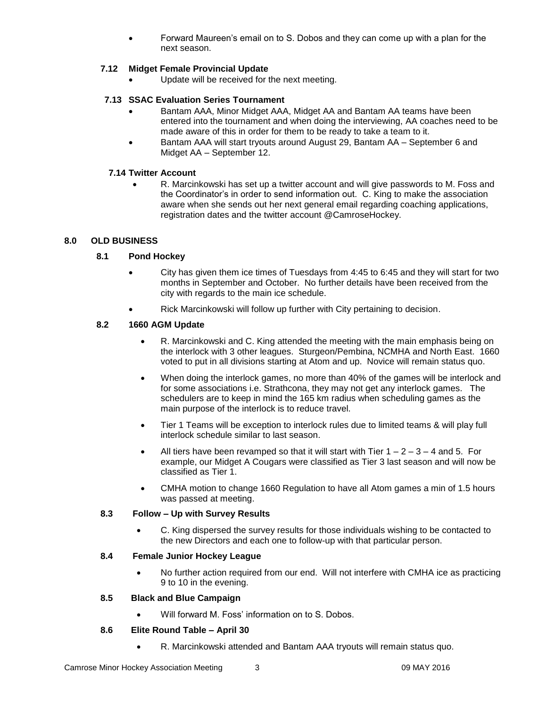Forward Maureen's email on to S. Dobos and they can come up with a plan for the next season.

# **7.12 Midget Female Provincial Update**

Update will be received for the next meeting.

# **7.13 SSAC Evaluation Series Tournament**

- Bantam AAA, Minor Midget AAA, Midget AA and Bantam AA teams have been entered into the tournament and when doing the interviewing, AA coaches need to be made aware of this in order for them to be ready to take a team to it.
- Bantam AAA will start tryouts around August 29, Bantam AA September 6 and Midget AA – September 12.

### **7.14 Twitter Account**

 R. Marcinkowski has set up a twitter account and will give passwords to M. Foss and the Coordinator's in order to send information out. C. King to make the association aware when she sends out her next general email regarding coaching applications, registration dates and the twitter account @CamroseHockey.

### **8.0 OLD BUSINESS**

### **8.1 Pond Hockey**

- City has given them ice times of Tuesdays from 4:45 to 6:45 and they will start for two months in September and October. No further details have been received from the city with regards to the main ice schedule.
- Rick Marcinkowski will follow up further with City pertaining to decision.

### **8.2 1660 AGM Update**

- R. Marcinkowski and C. King attended the meeting with the main emphasis being on the interlock with 3 other leagues. Sturgeon/Pembina, NCMHA and North East. 1660 voted to put in all divisions starting at Atom and up. Novice will remain status quo.
- When doing the interlock games, no more than 40% of the games will be interlock and for some associations i.e. Strathcona, they may not get any interlock games. The schedulers are to keep in mind the 165 km radius when scheduling games as the main purpose of the interlock is to reduce travel.
- Tier 1 Teams will be exception to interlock rules due to limited teams & will play full interlock schedule similar to last season.
- All tiers have been revamped so that it will start with Tier  $1 2 3 4$  and 5. For example, our Midget A Cougars were classified as Tier 3 last season and will now be classified as Tier 1.
- CMHA motion to change 1660 Regulation to have all Atom games a min of 1.5 hours was passed at meeting.

### **8.3 Follow – Up with Survey Results**

 C. King dispersed the survey results for those individuals wishing to be contacted to the new Directors and each one to follow-up with that particular person.

### **8.4 Female Junior Hockey League**

• No further action required from our end. Will not interfere with CMHA ice as practicing 9 to 10 in the evening.

#### **8.5 Black and Blue Campaign**

Will forward M. Foss' information on to S. Dobos.

#### **8.6 Elite Round Table – April 30**

R. Marcinkowski attended and Bantam AAA tryouts will remain status quo.